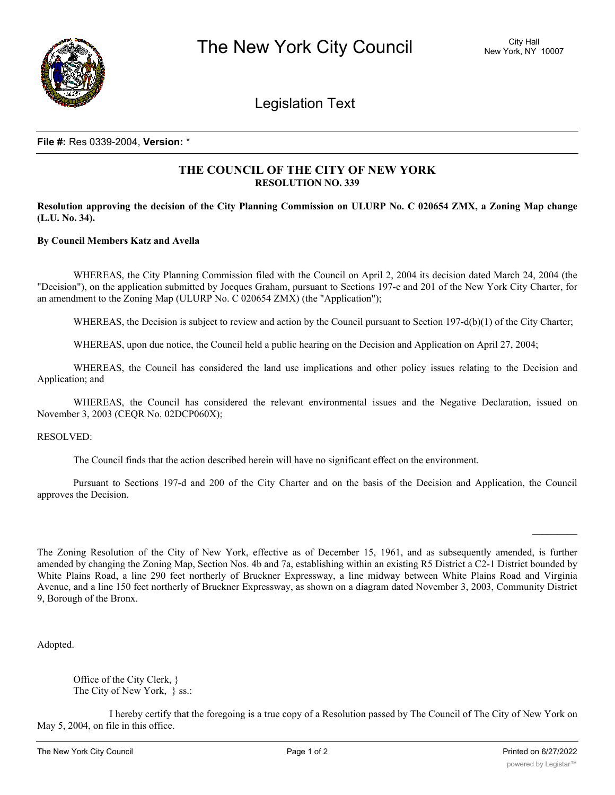

Legislation Text

## **File #:** Res 0339-2004, **Version:** \*

## **THE COUNCIL OF THE CITY OF NEW YORK RESOLUTION NO. 339**

Resolution approving the decision of the City Planning Commission on ULURP No. C 020654 ZMX, a Zoning Map change **(L.U. No. 34).**

## **By Council Members Katz and Avella**

WHEREAS, the City Planning Commission filed with the Council on April 2, 2004 its decision dated March 24, 2004 (the "Decision"), on the application submitted by Jocques Graham, pursuant to Sections 197-c and 201 of the New York City Charter, for an amendment to the Zoning Map (ULURP No. C 020654 ZMX) (the "Application");

WHEREAS, the Decision is subject to review and action by the Council pursuant to Section 197-d(b)(1) of the City Charter;

WHEREAS, upon due notice, the Council held a public hearing on the Decision and Application on April 27, 2004;

WHEREAS, the Council has considered the land use implications and other policy issues relating to the Decision and Application; and

WHEREAS, the Council has considered the relevant environmental issues and the Negative Declaration, issued on November 3, 2003 (CEQR No. 02DCP060X);

RESOLVED:

The Council finds that the action described herein will have no significant effect on the environment.

Pursuant to Sections 197-d and 200 of the City Charter and on the basis of the Decision and Application, the Council approves the Decision.

The Zoning Resolution of the City of New York, effective as of December 15, 1961, and as subsequently amended, is further amended by changing the Zoning Map, Section Nos. 4b and 7a, establishing within an existing R5 District a C2-1 District bounded by White Plains Road, a line 290 feet northerly of Bruckner Expressway, a line midway between White Plains Road and Virginia Avenue, and a line 150 feet northerly of Bruckner Expressway, as shown on a diagram dated November 3, 2003, Community District 9, Borough of the Bronx.

Adopted.

Office of the City Clerk, } The City of New York, } ss.:

I hereby certify that the foregoing is a true copy of a Resolution passed by The Council of The City of New York on May 5, 2004, on file in this office.